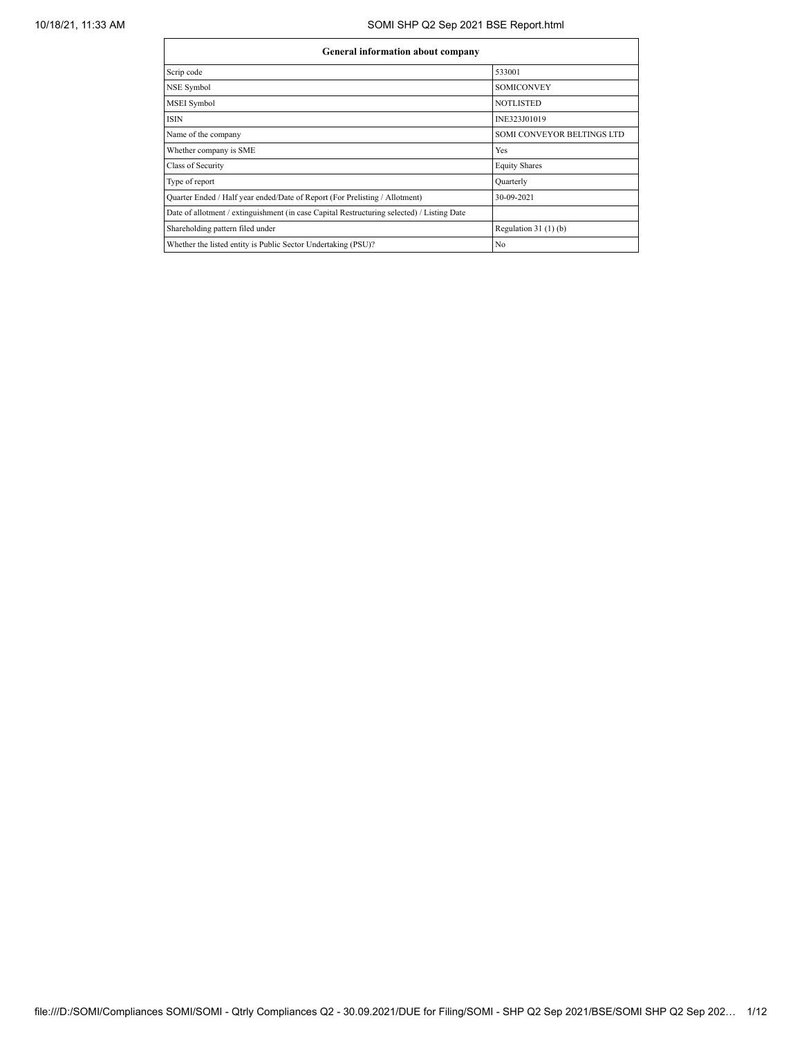## 10/18/21, 11:33 AM SOMI SHP Q2 Sep 2021 BSE Report.html

| <b>General information about company</b>                                                   |                            |  |  |  |  |  |  |  |  |
|--------------------------------------------------------------------------------------------|----------------------------|--|--|--|--|--|--|--|--|
| Scrip code                                                                                 | 533001                     |  |  |  |  |  |  |  |  |
| <b>NSE Symbol</b>                                                                          | <b>SOMICONVEY</b>          |  |  |  |  |  |  |  |  |
| MSEI Symbol                                                                                | <b>NOTLISTED</b>           |  |  |  |  |  |  |  |  |
| <b>ISIN</b>                                                                                | INE323J01019               |  |  |  |  |  |  |  |  |
| Name of the company                                                                        | SOMI CONVEYOR BELTINGS LTD |  |  |  |  |  |  |  |  |
| Whether company is SME                                                                     | Yes                        |  |  |  |  |  |  |  |  |
| Class of Security                                                                          | <b>Equity Shares</b>       |  |  |  |  |  |  |  |  |
| Type of report                                                                             | Quarterly                  |  |  |  |  |  |  |  |  |
| Quarter Ended / Half year ended/Date of Report (For Prelisting / Allotment)                | 30-09-2021                 |  |  |  |  |  |  |  |  |
| Date of allotment / extinguishment (in case Capital Restructuring selected) / Listing Date |                            |  |  |  |  |  |  |  |  |
| Shareholding pattern filed under                                                           | Regulation $31(1)(b)$      |  |  |  |  |  |  |  |  |
| Whether the listed entity is Public Sector Undertaking (PSU)?                              | No                         |  |  |  |  |  |  |  |  |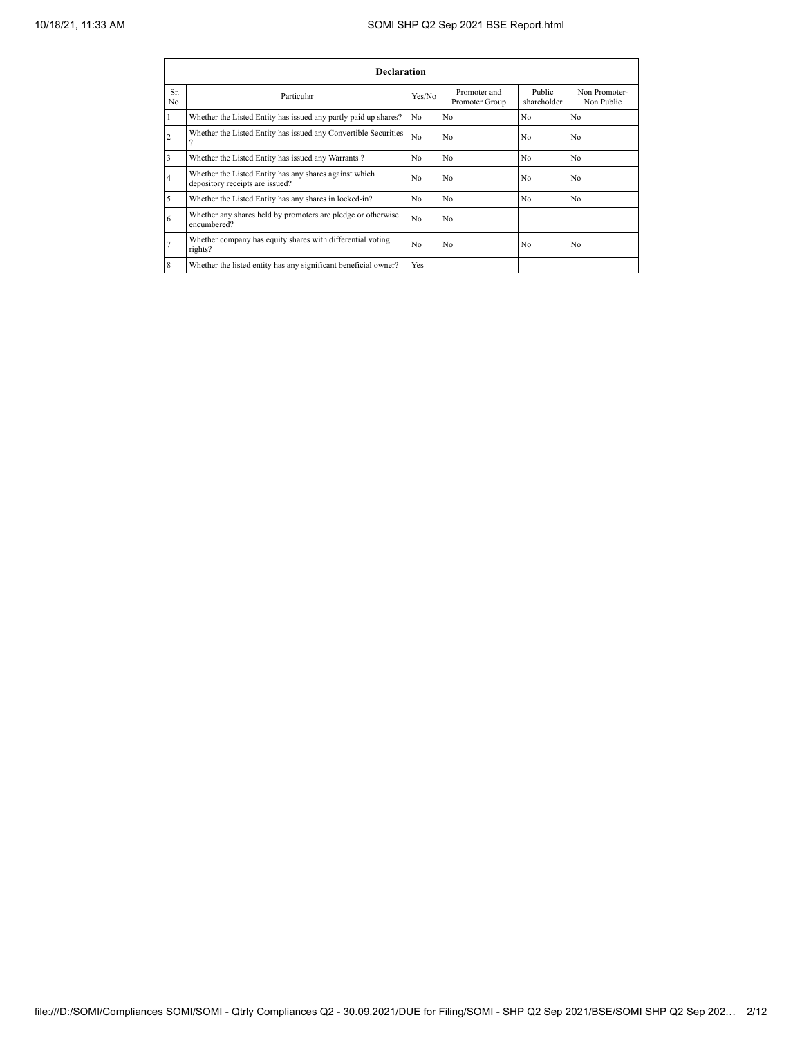|                | <b>Declaration</b>                                                                        |                |                                |                       |                             |  |  |  |  |  |  |  |  |
|----------------|-------------------------------------------------------------------------------------------|----------------|--------------------------------|-----------------------|-----------------------------|--|--|--|--|--|--|--|--|
| Sr.<br>No.     | Particular                                                                                | Yes/No         | Promoter and<br>Promoter Group | Public<br>shareholder | Non Promoter-<br>Non Public |  |  |  |  |  |  |  |  |
|                | Whether the Listed Entity has issued any partly paid up shares?                           | N <sub>o</sub> | N <sub>0</sub>                 | No                    | N <sub>o</sub>              |  |  |  |  |  |  |  |  |
| $\overline{2}$ | Whether the Listed Entity has issued any Convertible Securities<br>$\Omega$               | N <sub>o</sub> | N <sub>0</sub>                 | No                    | N <sub>0</sub>              |  |  |  |  |  |  |  |  |
| 3              | Whether the Listed Entity has issued any Warrants?                                        | N <sub>o</sub> | N <sub>0</sub>                 | No                    | N <sub>o</sub>              |  |  |  |  |  |  |  |  |
| $\overline{4}$ | Whether the Listed Entity has any shares against which<br>depository receipts are issued? | N <sub>o</sub> | N <sub>0</sub>                 | No                    | N <sub>o</sub>              |  |  |  |  |  |  |  |  |
| 5              | Whether the Listed Entity has any shares in locked-in?                                    | N <sub>o</sub> | N <sub>0</sub>                 | No                    | N <sub>0</sub>              |  |  |  |  |  |  |  |  |
| 6              | Whether any shares held by promoters are pledge or otherwise<br>encumbered?               | N <sub>o</sub> | N <sub>0</sub>                 |                       |                             |  |  |  |  |  |  |  |  |
| $\overline{7}$ | Whether company has equity shares with differential voting<br>rights?                     | N <sub>o</sub> | N <sub>0</sub>                 | No                    | No                          |  |  |  |  |  |  |  |  |
| 8              | Whether the listed entity has any significant beneficial owner?                           | Yes            |                                |                       |                             |  |  |  |  |  |  |  |  |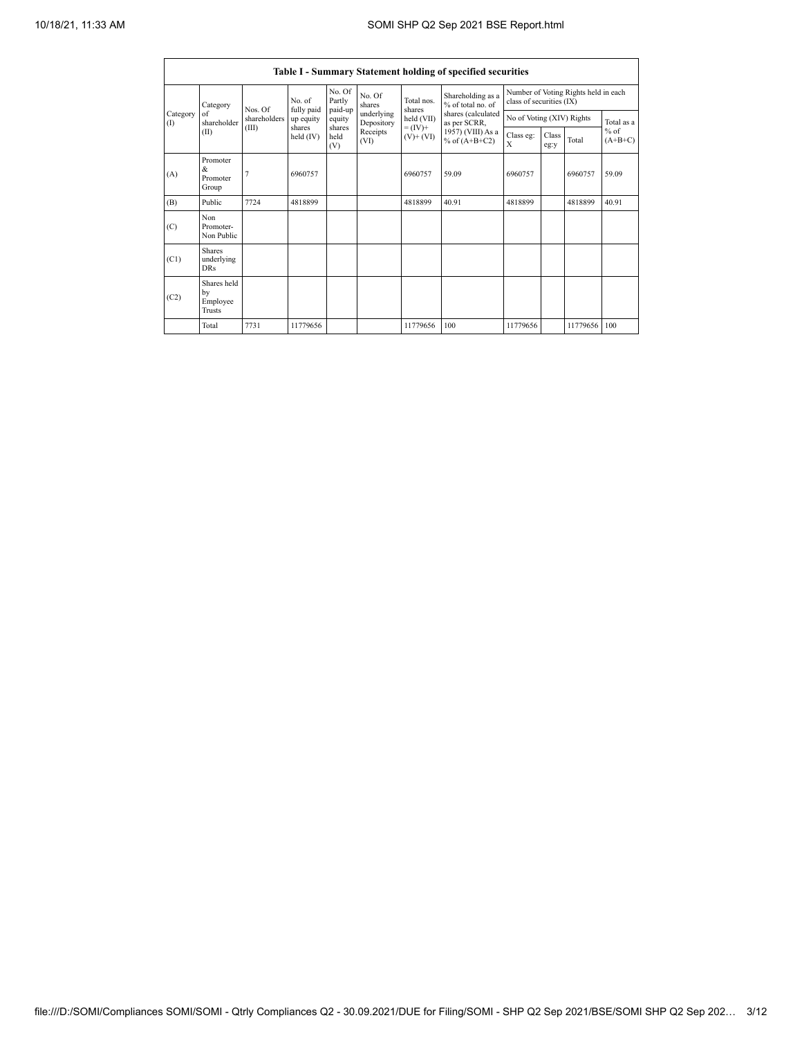|                 |                                                |                       |                      |                             |                                              |                              | Table I - Summary Statement holding of specified securities |                                                                  |               |              |                     |  |
|-----------------|------------------------------------------------|-----------------------|----------------------|-----------------------------|----------------------------------------------|------------------------------|-------------------------------------------------------------|------------------------------------------------------------------|---------------|--------------|---------------------|--|
|                 | Category                                       | Nos. Of               | No. of<br>fully paid | No. Of<br>Partly<br>paid-up | No. Of<br>shares                             | Total nos.<br>shares         | Shareholding as a<br>% of total no. of                      | Number of Voting Rights held in each<br>class of securities (IX) |               |              |                     |  |
| Category<br>(1) | of<br>shareholder                              | shareholders<br>(III) | up equity<br>shares  | equity<br>shares            | underlying<br>Depository<br>Receipts<br>(VI) | held (VII)                   | shares (calculated<br>as per SCRR,                          | No of Voting (XIV) Rights                                        |               |              | Total as a          |  |
|                 | (II)                                           |                       | held (IV)            | held<br>(V)                 |                                              | $= (IV) +$<br>$(V)$ + $(VI)$ | 1957) (VIII) As a<br>% of $(A+B+C2)$                        | Class eg:<br>X                                                   | Class<br>eg:y | Total        | $%$ of<br>$(A+B+C)$ |  |
| (A)             | Promoter<br>&.<br>Promoter<br>Group            | 7                     | 6960757              |                             |                                              | 6960757                      | 59.09                                                       | 6960757                                                          |               | 6960757      | 59.09               |  |
| (B)             | Public                                         | 7724                  | 4818899              |                             |                                              | 4818899                      | 40.91                                                       | 4818899                                                          |               | 4818899      | 40.91               |  |
| (C)             | Non<br>Promoter-<br>Non Public                 |                       |                      |                             |                                              |                              |                                                             |                                                                  |               |              |                     |  |
| (C1)            | <b>Shares</b><br>underlying<br><b>DRs</b>      |                       |                      |                             |                                              |                              |                                                             |                                                                  |               |              |                     |  |
| (C2)            | Shares held<br>by<br>Employee<br><b>Trusts</b> |                       |                      |                             |                                              |                              |                                                             |                                                                  |               |              |                     |  |
|                 | Total                                          | 7731                  | 11779656             |                             |                                              | 11779656                     | 100                                                         | 11779656                                                         |               | 11779656 100 |                     |  |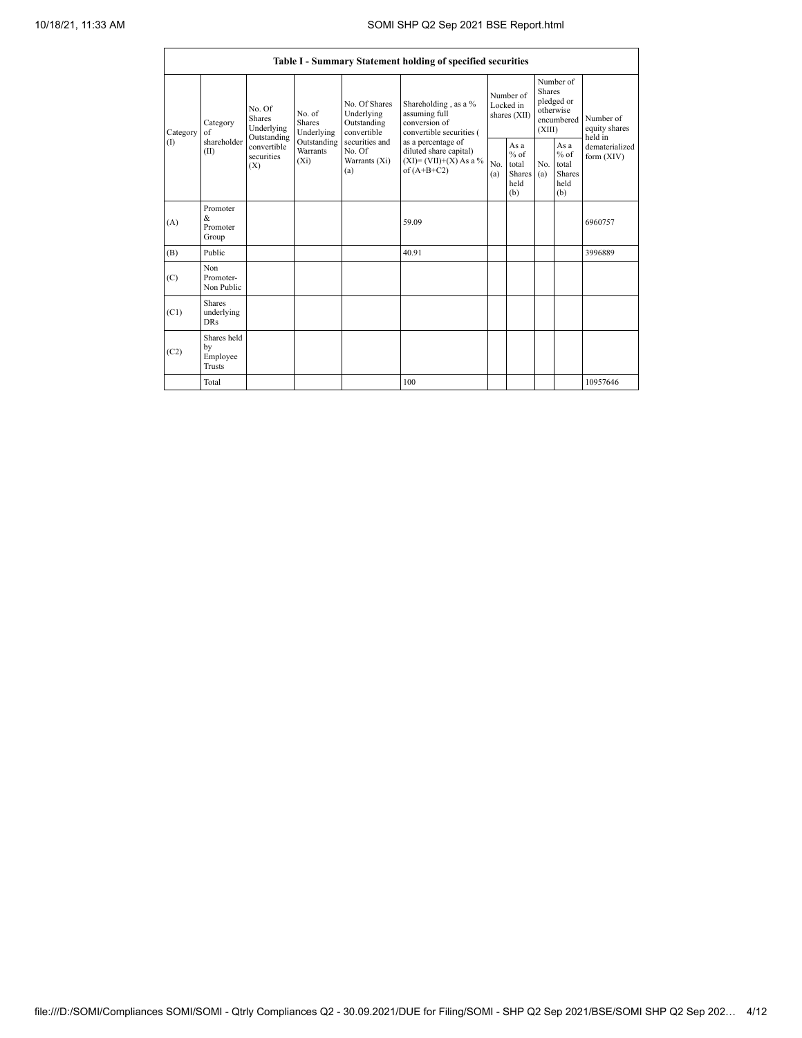|                 | Table I - Summary Statement holding of specified securities |                                              |                                       |                                                          |                                                                                          |                                        |                                                         |                                                                               |                                                         |                                           |  |  |  |  |
|-----------------|-------------------------------------------------------------|----------------------------------------------|---------------------------------------|----------------------------------------------------------|------------------------------------------------------------------------------------------|----------------------------------------|---------------------------------------------------------|-------------------------------------------------------------------------------|---------------------------------------------------------|-------------------------------------------|--|--|--|--|
| Category<br>(1) | Category<br>of                                              | No Of<br>Shares<br>Underlying<br>Outstanding | No. of<br><b>Shares</b><br>Underlying | No Of Shares<br>Underlying<br>Outstanding<br>convertible | Shareholding, as a %<br>assuming full<br>conversion of<br>convertible securities (       | Number of<br>Locked in<br>shares (XII) |                                                         | Number of<br><b>Shares</b><br>pledged or<br>otherwise<br>encumbered<br>(XIII) |                                                         | Number of<br>equity shares                |  |  |  |  |
|                 | shareholder<br>(II)                                         | convertible<br>securities<br>(X)             | Outstanding<br>Warrants<br>$(X_i)$    | securities and<br>No. Of<br>Warrants (Xi)<br>(a)         | as a percentage of<br>diluted share capital)<br>$(XI)=(VII)+(X) As a %$<br>of $(A+B+C2)$ | No.<br>(a)                             | As a<br>$%$ of<br>total<br><b>Shares</b><br>held<br>(b) | No.<br>(a)                                                                    | As a<br>$%$ of<br>total<br><b>Shares</b><br>held<br>(b) | held in<br>dematerialized<br>form $(XIV)$ |  |  |  |  |
| (A)             | Promoter<br>$\&$<br>Promoter<br>Group                       |                                              |                                       |                                                          | 59.09                                                                                    |                                        |                                                         |                                                                               |                                                         | 6960757                                   |  |  |  |  |
| (B)             | Public                                                      |                                              |                                       |                                                          | 40.91                                                                                    |                                        |                                                         |                                                                               |                                                         | 3996889                                   |  |  |  |  |
| (C)             | Non<br>Promoter-<br>Non Public                              |                                              |                                       |                                                          |                                                                                          |                                        |                                                         |                                                                               |                                                         |                                           |  |  |  |  |
| (C1)            | <b>Shares</b><br>underlying<br><b>DRs</b>                   |                                              |                                       |                                                          |                                                                                          |                                        |                                                         |                                                                               |                                                         |                                           |  |  |  |  |
| (C2)            | Shares held<br>by<br>Employee<br>Trusts                     |                                              |                                       |                                                          |                                                                                          |                                        |                                                         |                                                                               |                                                         |                                           |  |  |  |  |
|                 | Total                                                       |                                              |                                       |                                                          | 100                                                                                      |                                        |                                                         |                                                                               |                                                         | 10957646                                  |  |  |  |  |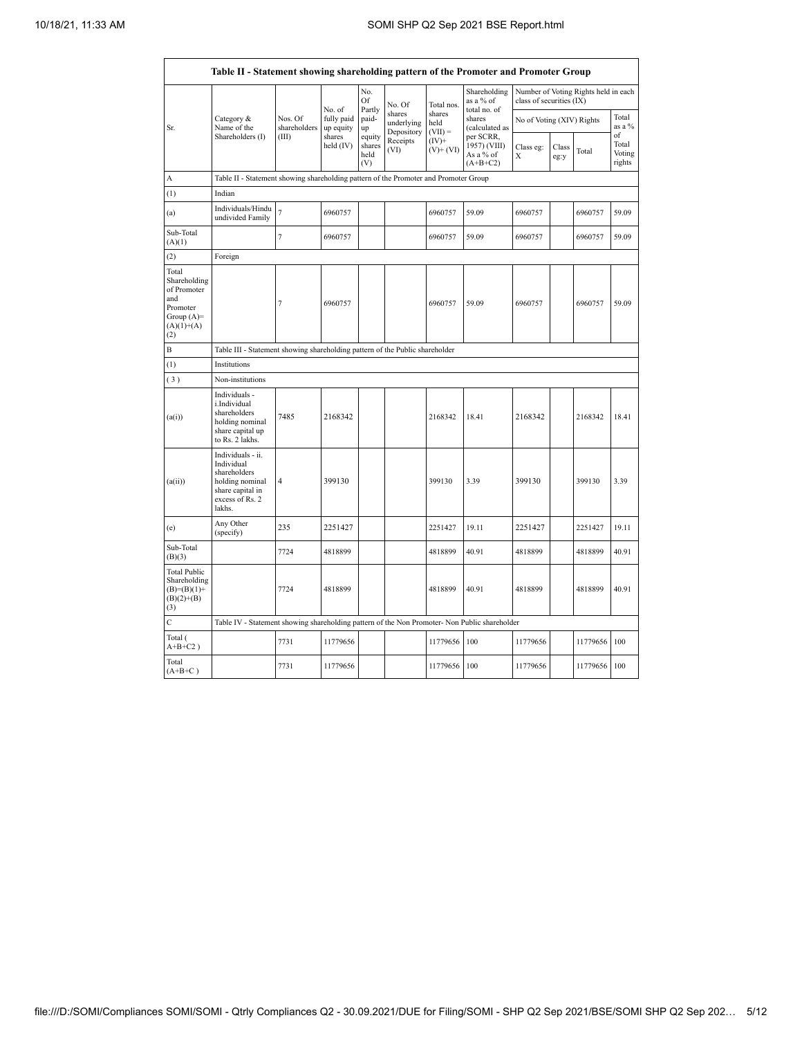| Table II - Statement showing shareholding pattern of the Promoter and Promoter Group           |                                                                                                                     |                                                                              |                                                                                                    |                                 |                                    |                             |                                                      |                           |               |                                                                  |                           |  |  |  |
|------------------------------------------------------------------------------------------------|---------------------------------------------------------------------------------------------------------------------|------------------------------------------------------------------------------|----------------------------------------------------------------------------------------------------|---------------------------------|------------------------------------|-----------------------------|------------------------------------------------------|---------------------------|---------------|------------------------------------------------------------------|---------------------------|--|--|--|
|                                                                                                |                                                                                                                     |                                                                              | Shareholding<br>No.<br>Of<br>as a % of<br>No. Of<br>Total nos.<br>No. of<br>Partly<br>total no. of |                                 |                                    |                             |                                                      |                           |               | Number of Voting Rights held in each<br>class of securities (IX) |                           |  |  |  |
| Sr.                                                                                            | Category &<br>Name of the                                                                                           | Nos. Of<br>shareholders                                                      | fully paid<br>up equity                                                                            | paid-<br>up                     | shares<br>underlying<br>Depository | shares<br>held<br>$(VII) =$ | shares<br>(calculated as                             | No of Voting (XIV) Rights |               |                                                                  | Total<br>as a %<br>of     |  |  |  |
|                                                                                                | Shareholders (I)                                                                                                    | (III)                                                                        | shares<br>held (IV)                                                                                | equity<br>shares<br>held<br>(V) | Receipts<br>(VI)                   | $(IV)$ +<br>$(V)$ + $(VI)$  | per SCRR,<br>1957) (VIII)<br>As a % of<br>$(A+B+C2)$ | Class eg:<br>Χ            | Class<br>eg:y | Total                                                            | Total<br>Voting<br>rights |  |  |  |
| А                                                                                              | Table II - Statement showing shareholding pattern of the Promoter and Promoter Group                                |                                                                              |                                                                                                    |                                 |                                    |                             |                                                      |                           |               |                                                                  |                           |  |  |  |
| (1)                                                                                            | Indian                                                                                                              |                                                                              |                                                                                                    |                                 |                                    |                             |                                                      |                           |               |                                                                  |                           |  |  |  |
| (a)                                                                                            | Individuals/Hindu<br>undivided Family                                                                               | $\overline{7}$                                                               | 6960757                                                                                            |                                 |                                    | 6960757                     | 59.09                                                | 6960757                   |               | 6960757                                                          | 59.09                     |  |  |  |
| Sub-Total<br>(A)(1)                                                                            |                                                                                                                     | $\overline{7}$                                                               | 6960757                                                                                            |                                 |                                    | 6960757                     | 59.09                                                | 6960757                   |               | 6960757                                                          | 59.09                     |  |  |  |
| (2)                                                                                            | Foreign                                                                                                             |                                                                              |                                                                                                    |                                 |                                    |                             |                                                      |                           |               |                                                                  |                           |  |  |  |
| Total<br>Shareholding<br>of Promoter<br>and<br>Promoter<br>Group $(A)=$<br>$(A)(1)+(A)$<br>(2) |                                                                                                                     | 7                                                                            | 6960757                                                                                            |                                 |                                    | 6960757                     | 59.09                                                | 6960757                   |               | 6960757                                                          | 59.09                     |  |  |  |
| B                                                                                              |                                                                                                                     | Table III - Statement showing shareholding pattern of the Public shareholder |                                                                                                    |                                 |                                    |                             |                                                      |                           |               |                                                                  |                           |  |  |  |
| (1)                                                                                            | Institutions                                                                                                        |                                                                              |                                                                                                    |                                 |                                    |                             |                                                      |                           |               |                                                                  |                           |  |  |  |
| (3)                                                                                            | Non-institutions                                                                                                    |                                                                              |                                                                                                    |                                 |                                    |                             |                                                      |                           |               |                                                                  |                           |  |  |  |
| (a(i))                                                                                         | Individuals -<br>i.Individual<br>shareholders<br>holding nominal<br>share capital up<br>to Rs. 2 lakhs.             | 7485                                                                         | 2168342                                                                                            |                                 |                                    | 2168342                     | 18.41                                                | 2168342                   |               | 2168342                                                          | 18.41                     |  |  |  |
| (a(ii))                                                                                        | Individuals - ii.<br>Individual<br>shareholders<br>holding nominal<br>share capital in<br>excess of Rs. 2<br>lakhs. | 4                                                                            | 399130                                                                                             |                                 |                                    | 399130                      | 3.39                                                 | 399130                    |               | 399130                                                           | 3.39                      |  |  |  |
| (e)                                                                                            | Any Other<br>(specify)                                                                                              | 235                                                                          | 2251427                                                                                            |                                 |                                    | 2251427                     | 19.11                                                | 2251427                   |               | 2251427                                                          | 19.11                     |  |  |  |
| Sub-Total<br>(B)(3)                                                                            |                                                                                                                     | 7724                                                                         | 4818899                                                                                            |                                 |                                    | 4818899                     | 40.91                                                | 4818899                   |               | 4818899                                                          | 40.91                     |  |  |  |
| <b>Total Public</b><br>Shareholding<br>$(B)=(B)(1)+$<br>$(B)(2)+(B)$<br>(3)                    |                                                                                                                     | 7724                                                                         | 4818899                                                                                            |                                 |                                    | 4818899                     | 40.91                                                | 4818899                   |               | 4818899                                                          | 40.91                     |  |  |  |
| $\mathsf{C}$                                                                                   | Table IV - Statement showing shareholding pattern of the Non Promoter- Non Public shareholder                       |                                                                              |                                                                                                    |                                 |                                    |                             |                                                      |                           |               |                                                                  |                           |  |  |  |
| Total (<br>$A+B+C2$ )                                                                          |                                                                                                                     | 7731                                                                         | 11779656                                                                                           |                                 |                                    | 11779656                    | 100                                                  | 11779656                  |               | 11779656                                                         | 100                       |  |  |  |
| Total<br>$(A+B+C)$                                                                             |                                                                                                                     | 7731                                                                         | 11779656                                                                                           |                                 |                                    | 11779656                    | 100                                                  | 11779656                  |               | 11779656                                                         | 100                       |  |  |  |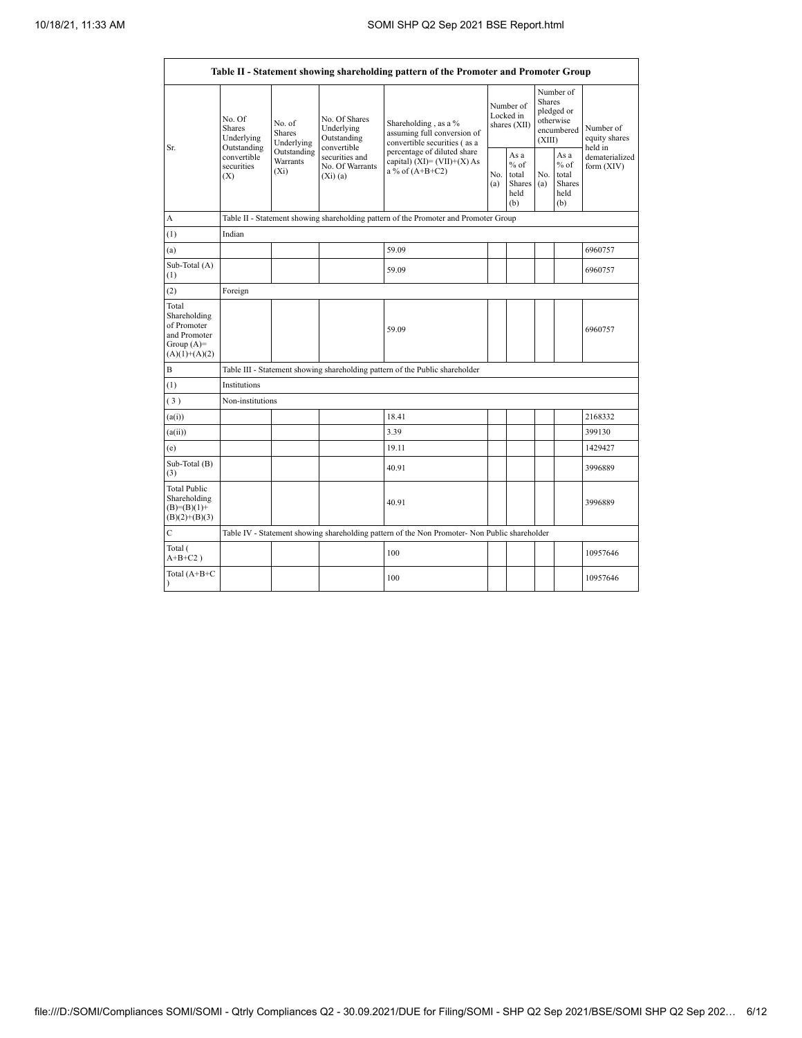r

| Table II - Statement showing shareholding pattern of the Promoter and Promoter Group    |                                               |                                       |                                                           |                                                                                               |                                                                              |                                        |                                                  |                                                    |                                       |  |  |  |  |
|-----------------------------------------------------------------------------------------|-----------------------------------------------|---------------------------------------|-----------------------------------------------------------|-----------------------------------------------------------------------------------------------|------------------------------------------------------------------------------|----------------------------------------|--------------------------------------------------|----------------------------------------------------|---------------------------------------|--|--|--|--|
| Sr.                                                                                     | No. Of<br>Shares<br>Underlying<br>Outstanding | No. of<br><b>Shares</b><br>Underlying | No. Of Shares<br>Underlying<br>Outstanding<br>convertible | Shareholding, as a %<br>assuming full conversion of<br>convertible securities (as a           |                                                                              | Number of<br>Locked in<br>shares (XII) | <b>Shares</b><br>(XIII)                          | Number of<br>pledged or<br>otherwise<br>encumbered | Number of<br>equity shares<br>held in |  |  |  |  |
|                                                                                         | convertible<br>securities<br>(X)              | Outstanding<br>Warrants<br>$(X_i)$    | securities and<br>No. Of Warrants<br>(Xi)(a)              | percentage of diluted share<br>capital) $(XI) = (VII)+(X) As$<br>a % of $(A+B+C2)$            | As a<br>$%$ of<br>No.<br>total<br>No.<br>Shares<br>(a)<br>(a)<br>held<br>(b) |                                        | As a<br>$%$ of<br>total<br>Shares<br>held<br>(b) | dematerialized<br>form (XIV)                       |                                       |  |  |  |  |
| A                                                                                       |                                               |                                       |                                                           | Table II - Statement showing shareholding pattern of the Promoter and Promoter Group          |                                                                              |                                        |                                                  |                                                    |                                       |  |  |  |  |
| (1)                                                                                     | Indian                                        |                                       |                                                           |                                                                                               |                                                                              |                                        |                                                  |                                                    |                                       |  |  |  |  |
| (a)                                                                                     |                                               |                                       |                                                           | 59.09                                                                                         |                                                                              |                                        |                                                  |                                                    | 6960757                               |  |  |  |  |
| Sub-Total (A)<br>(1)                                                                    |                                               |                                       |                                                           | 59.09                                                                                         |                                                                              |                                        |                                                  |                                                    | 6960757                               |  |  |  |  |
| (2)                                                                                     | Foreign                                       |                                       |                                                           |                                                                                               |                                                                              |                                        |                                                  |                                                    |                                       |  |  |  |  |
| Total<br>Shareholding<br>of Promoter<br>and Promoter<br>Group $(A)=$<br>$(A)(1)+(A)(2)$ |                                               |                                       |                                                           | 59.09                                                                                         |                                                                              |                                        |                                                  |                                                    | 6960757                               |  |  |  |  |
| $\mathbf B$                                                                             |                                               |                                       |                                                           | Table III - Statement showing shareholding pattern of the Public shareholder                  |                                                                              |                                        |                                                  |                                                    |                                       |  |  |  |  |
| (1)                                                                                     | Institutions                                  |                                       |                                                           |                                                                                               |                                                                              |                                        |                                                  |                                                    |                                       |  |  |  |  |
| (3)                                                                                     | Non-institutions                              |                                       |                                                           |                                                                                               |                                                                              |                                        |                                                  |                                                    |                                       |  |  |  |  |
| (a(i))                                                                                  |                                               |                                       |                                                           | 18.41                                                                                         |                                                                              |                                        |                                                  |                                                    | 2168332                               |  |  |  |  |
| (a(ii))                                                                                 |                                               |                                       |                                                           | 3.39                                                                                          |                                                                              |                                        |                                                  |                                                    | 399130                                |  |  |  |  |
| (e)                                                                                     |                                               |                                       |                                                           | 19.11                                                                                         |                                                                              |                                        |                                                  |                                                    | 1429427                               |  |  |  |  |
| Sub-Total (B)<br>(3)                                                                    |                                               |                                       |                                                           | 40.91                                                                                         |                                                                              |                                        |                                                  |                                                    | 3996889                               |  |  |  |  |
| <b>Total Public</b><br>Shareholding<br>$(B)=(B)(1)+$<br>$(B)(2)+(B)(3)$                 |                                               |                                       |                                                           | 40.91                                                                                         |                                                                              |                                        |                                                  |                                                    | 3996889                               |  |  |  |  |
| C                                                                                       |                                               |                                       |                                                           | Table IV - Statement showing shareholding pattern of the Non Promoter- Non Public shareholder |                                                                              |                                        |                                                  |                                                    |                                       |  |  |  |  |
| Total (<br>$A+B+C2$ )                                                                   |                                               |                                       |                                                           | 100                                                                                           |                                                                              |                                        |                                                  |                                                    | 10957646                              |  |  |  |  |
| Total (A+B+C<br>$\lambda$                                                               |                                               |                                       |                                                           | 100                                                                                           |                                                                              |                                        |                                                  | 10957646                                           |                                       |  |  |  |  |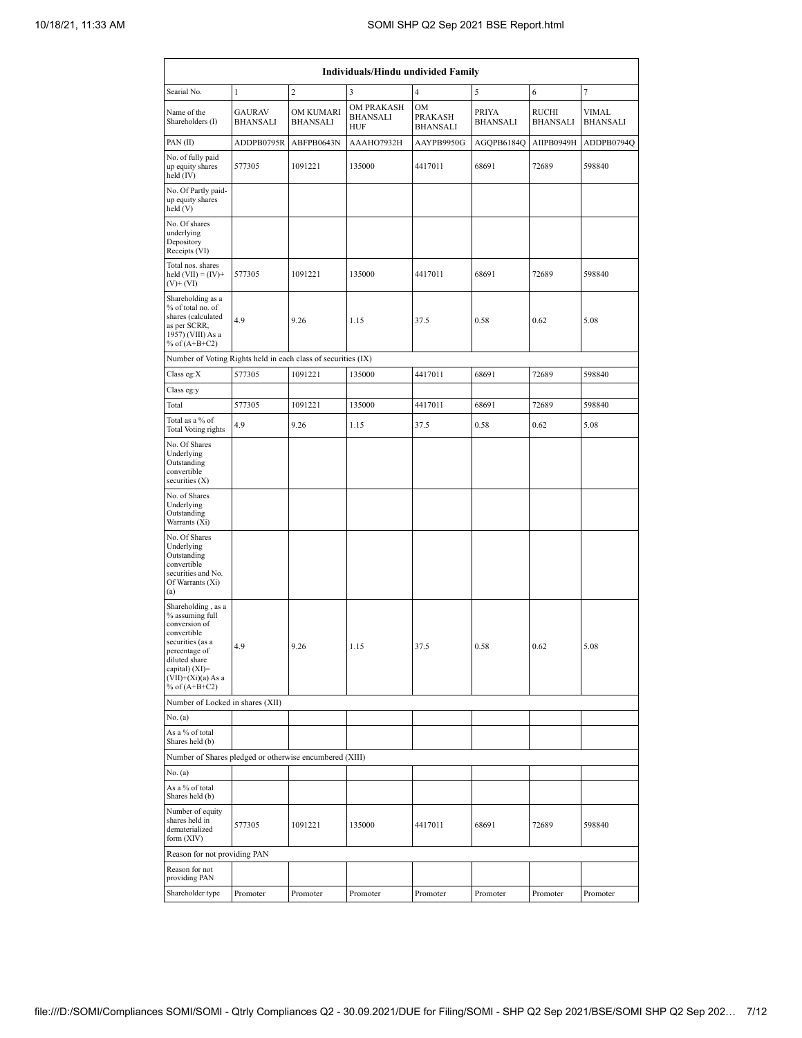| Individuals/Hindu undivided Family                                                                                                                                                       |                                  |                                     |                                                    |                                                |                          |                          |                          |  |  |  |  |  |  |
|------------------------------------------------------------------------------------------------------------------------------------------------------------------------------------------|----------------------------------|-------------------------------------|----------------------------------------------------|------------------------------------------------|--------------------------|--------------------------|--------------------------|--|--|--|--|--|--|
| Searial No.                                                                                                                                                                              | $\mathbf{1}$                     | $\overline{c}$                      | 3                                                  | $\overline{4}$                                 | 5                        | 6                        | $\overline{7}$           |  |  |  |  |  |  |
| Name of the<br>Shareholders (I)                                                                                                                                                          | <b>GAURAV</b><br><b>BHANSALI</b> | <b>OM KUMARI</b><br><b>BHANSALI</b> | <b>OM PRAKASH</b><br><b>BHANSALI</b><br><b>HUF</b> | <b>OM</b><br><b>PRAKASH</b><br><b>BHANSALI</b> | PRIYA<br><b>BHANSALI</b> | RUCHI<br><b>BHANSALI</b> | VIMAL<br><b>BHANSALI</b> |  |  |  |  |  |  |
| PAN(II)                                                                                                                                                                                  | ADDPB0795R                       | ABFPB0643N                          | AAAHO7932H                                         | AAYPB9950G                                     | AGOPB6184O               | AIIPB0949H               | ADDPB0794Q               |  |  |  |  |  |  |
| No. of fully paid<br>up equity shares<br>held (IV)                                                                                                                                       | 577305                           | 1091221                             | 135000                                             | 4417011                                        | 68691                    | 72689                    | 598840                   |  |  |  |  |  |  |
| No. Of Partly paid-<br>up equity shares<br>held (V)                                                                                                                                      |                                  |                                     |                                                    |                                                |                          |                          |                          |  |  |  |  |  |  |
| No. Of shares<br>underlying<br>Depository<br>Receipts (VI)                                                                                                                               |                                  |                                     |                                                    |                                                |                          |                          |                          |  |  |  |  |  |  |
| Total nos. shares<br>held $(VII) = (IV) +$<br>$(V)$ + $(VI)$                                                                                                                             | 577305                           | 1091221                             | 135000                                             | 4417011                                        | 68691                    | 72689                    | 598840                   |  |  |  |  |  |  |
| Shareholding as a<br>% of total no. of<br>shares (calculated<br>4.9<br>as per SCRR,<br>1957) (VIII) As a<br>% of $(A+B+C2)$                                                              |                                  | 9.26                                | 1.15                                               | 37.5                                           | 0.58                     | 0.62                     | 5.08                     |  |  |  |  |  |  |
| Number of Voting Rights held in each class of securities (IX)                                                                                                                            |                                  |                                     |                                                    |                                                |                          |                          |                          |  |  |  |  |  |  |
| Class eg:X                                                                                                                                                                               | 577305                           | 1091221                             | 135000                                             | 4417011                                        | 68691                    | 72689                    | 598840                   |  |  |  |  |  |  |
| Class eg:y                                                                                                                                                                               |                                  |                                     |                                                    |                                                |                          |                          |                          |  |  |  |  |  |  |
| Total                                                                                                                                                                                    | 577305                           | 1091221                             | 135000                                             | 4417011                                        | 68691                    | 72689                    | 598840                   |  |  |  |  |  |  |
| Total as a % of<br><b>Total Voting rights</b>                                                                                                                                            | 4.9                              | 9.26                                | 1.15                                               | 37.5                                           | 0.58                     | 0.62                     | 5.08                     |  |  |  |  |  |  |
| No. Of Shares<br>Underlying<br>Outstanding<br>convertible<br>securities $(X)$                                                                                                            |                                  |                                     |                                                    |                                                |                          |                          |                          |  |  |  |  |  |  |
| No. of Shares<br>Underlying<br>Outstanding<br>Warrants (Xi)                                                                                                                              |                                  |                                     |                                                    |                                                |                          |                          |                          |  |  |  |  |  |  |
| No. Of Shares<br>Underlying<br>Outstanding<br>convertible<br>securities and No.<br>Of Warrants (Xi)<br>(a)                                                                               |                                  |                                     |                                                    |                                                |                          |                          |                          |  |  |  |  |  |  |
| Shareholding, as a<br>% assuming full<br>conversion of<br>convertible<br>securities (as a<br>percentage of<br>diluted share<br>capital) (XI)=<br>$(VII)+(Xi)(a) As a$<br>% of $(A+B+C2)$ | 4.9                              | 9.26                                | 1.15                                               | 37.5                                           | 0.58                     | 0.62                     | 5.08                     |  |  |  |  |  |  |
| Number of Locked in shares (XII)                                                                                                                                                         |                                  |                                     |                                                    |                                                |                          |                          |                          |  |  |  |  |  |  |
| No. (a)                                                                                                                                                                                  |                                  |                                     |                                                    |                                                |                          |                          |                          |  |  |  |  |  |  |
| As a % of total<br>Shares held (b)                                                                                                                                                       |                                  |                                     |                                                    |                                                |                          |                          |                          |  |  |  |  |  |  |
| Number of Shares pledged or otherwise encumbered (XIII)                                                                                                                                  |                                  |                                     |                                                    |                                                |                          |                          |                          |  |  |  |  |  |  |
| No. (a)                                                                                                                                                                                  |                                  |                                     |                                                    |                                                |                          |                          |                          |  |  |  |  |  |  |
| As a % of total<br>Shares held (b)                                                                                                                                                       |                                  |                                     |                                                    |                                                |                          |                          |                          |  |  |  |  |  |  |
| Number of equity<br>shares held in<br>dematerialized<br>form (XIV)                                                                                                                       | 577305                           | 1091221                             | 135000                                             | 4417011                                        | 68691                    | 72689                    | 598840                   |  |  |  |  |  |  |
| Reason for not providing PAN                                                                                                                                                             |                                  |                                     |                                                    |                                                |                          |                          |                          |  |  |  |  |  |  |
| Reason for not<br>providing PAN                                                                                                                                                          |                                  |                                     |                                                    |                                                |                          |                          |                          |  |  |  |  |  |  |
| Shareholder type                                                                                                                                                                         | Promoter                         | Promoter                            | Promoter                                           | Promoter                                       | Promoter                 | Promoter                 | Promoter                 |  |  |  |  |  |  |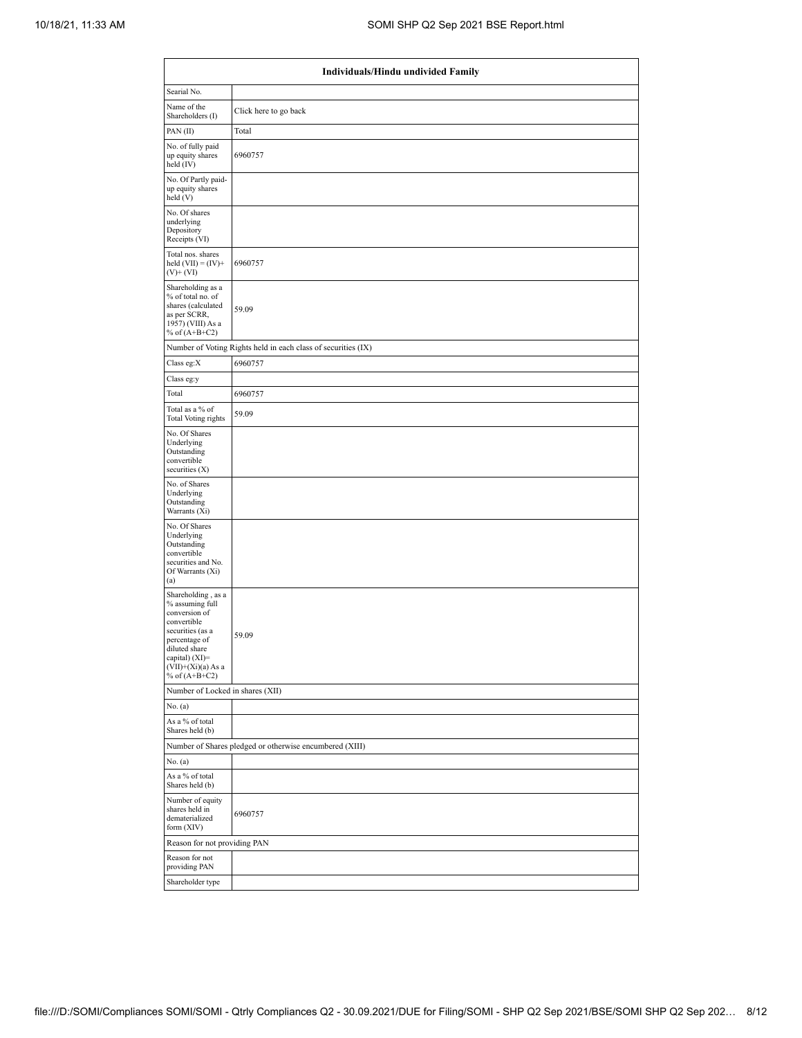|                                                                                                                                                                                          | Individuals/Hindu undivided Family                            |  |  |  |  |  |  |  |  |  |  |
|------------------------------------------------------------------------------------------------------------------------------------------------------------------------------------------|---------------------------------------------------------------|--|--|--|--|--|--|--|--|--|--|
| Searial No.                                                                                                                                                                              |                                                               |  |  |  |  |  |  |  |  |  |  |
| Name of the<br>Shareholders (I)                                                                                                                                                          | Click here to go back                                         |  |  |  |  |  |  |  |  |  |  |
| PAN(II)                                                                                                                                                                                  | Total                                                         |  |  |  |  |  |  |  |  |  |  |
| No. of fully paid<br>up equity shares<br>held (IV)                                                                                                                                       | 6960757                                                       |  |  |  |  |  |  |  |  |  |  |
| No. Of Partly paid-<br>up equity shares<br>held (V)                                                                                                                                      |                                                               |  |  |  |  |  |  |  |  |  |  |
| No. Of shares<br>underlying<br>Depository<br>Receipts (VI)                                                                                                                               |                                                               |  |  |  |  |  |  |  |  |  |  |
| Total nos. shares<br>held $(VII) = (IV) +$<br>$(V)$ + $(VI)$                                                                                                                             | 6960757                                                       |  |  |  |  |  |  |  |  |  |  |
| Shareholding as a<br>% of total no. of<br>shares (calculated<br>as per SCRR,<br>1957) (VIII) As a<br>% of $(A+B+C2)$                                                                     | 59.09                                                         |  |  |  |  |  |  |  |  |  |  |
|                                                                                                                                                                                          | Number of Voting Rights held in each class of securities (IX) |  |  |  |  |  |  |  |  |  |  |
| Class eg:X                                                                                                                                                                               | 6960757                                                       |  |  |  |  |  |  |  |  |  |  |
| Class eg:y                                                                                                                                                                               |                                                               |  |  |  |  |  |  |  |  |  |  |
| Total                                                                                                                                                                                    | 6960757                                                       |  |  |  |  |  |  |  |  |  |  |
| Total as a % of<br><b>Total Voting rights</b>                                                                                                                                            | 59.09                                                         |  |  |  |  |  |  |  |  |  |  |
| No. Of Shares<br>Underlying<br>Outstanding<br>convertible<br>securities $(X)$                                                                                                            |                                                               |  |  |  |  |  |  |  |  |  |  |
| No. of Shares<br>Underlying<br>Outstanding<br>Warrants (Xi)                                                                                                                              |                                                               |  |  |  |  |  |  |  |  |  |  |
| No. Of Shares<br>Underlying<br>Outstanding<br>convertible<br>securities and No.<br>Of Warrants (Xi)<br>(a)                                                                               |                                                               |  |  |  |  |  |  |  |  |  |  |
| Shareholding, as a<br>% assuming full<br>conversion of<br>convertible<br>securities (as a<br>percentage of<br>diluted share<br>capital) (XI)=<br>$(VII)+(Xi)(a)$ As a<br>% of $(A+B+C2)$ | 59.09                                                         |  |  |  |  |  |  |  |  |  |  |
| Number of Locked in shares (XII)                                                                                                                                                         |                                                               |  |  |  |  |  |  |  |  |  |  |
| No. (a)                                                                                                                                                                                  |                                                               |  |  |  |  |  |  |  |  |  |  |
| As a % of total<br>Shares held (b)                                                                                                                                                       |                                                               |  |  |  |  |  |  |  |  |  |  |
|                                                                                                                                                                                          | Number of Shares pledged or otherwise encumbered (XIII)       |  |  |  |  |  |  |  |  |  |  |
| No. (a)                                                                                                                                                                                  |                                                               |  |  |  |  |  |  |  |  |  |  |
| As a % of total<br>Shares held (b)                                                                                                                                                       |                                                               |  |  |  |  |  |  |  |  |  |  |
| Number of equity<br>shares held in<br>dematerialized<br>form $(XIV)$                                                                                                                     | 6960757                                                       |  |  |  |  |  |  |  |  |  |  |
| Reason for not providing PAN                                                                                                                                                             |                                                               |  |  |  |  |  |  |  |  |  |  |
| Reason for not<br>providing PAN                                                                                                                                                          |                                                               |  |  |  |  |  |  |  |  |  |  |
| Shareholder type                                                                                                                                                                         |                                                               |  |  |  |  |  |  |  |  |  |  |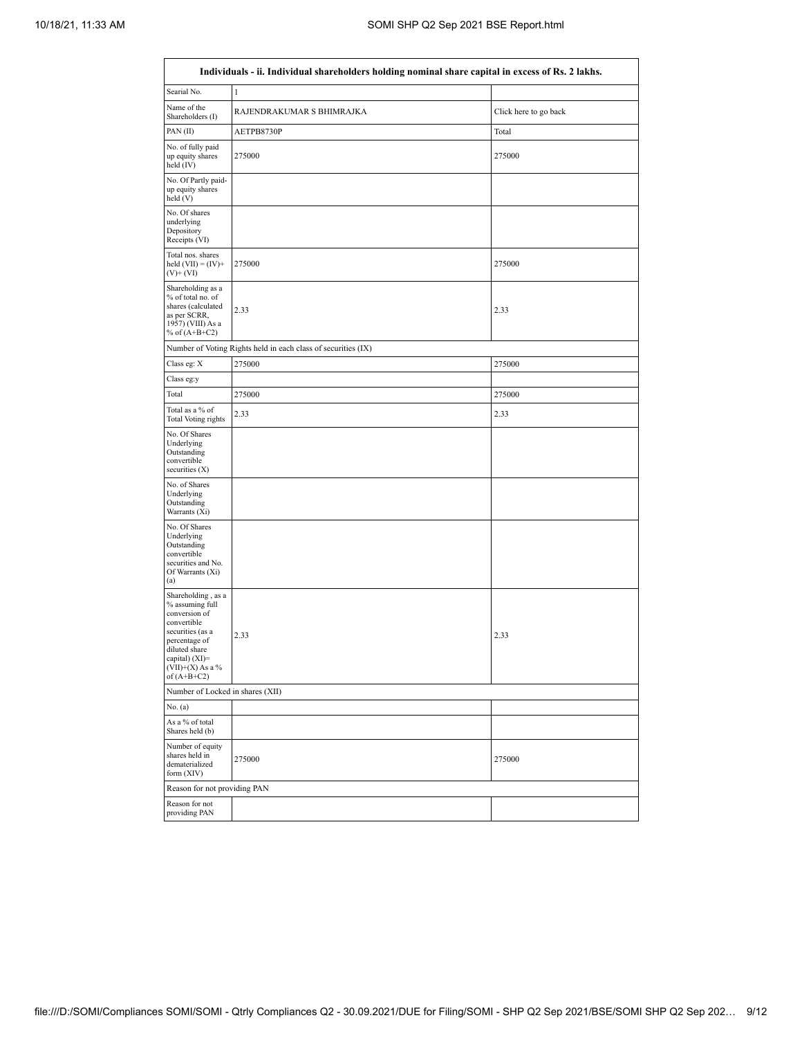| Individuals - ii. Individual shareholders holding nominal share capital in excess of Rs. 2 lakhs.                                                                                      |                                                               |                       |  |  |  |  |  |  |  |  |  |  |
|----------------------------------------------------------------------------------------------------------------------------------------------------------------------------------------|---------------------------------------------------------------|-----------------------|--|--|--|--|--|--|--|--|--|--|
| Searial No.                                                                                                                                                                            | $\mathbf{1}$                                                  |                       |  |  |  |  |  |  |  |  |  |  |
| Name of the<br>Shareholders (I)                                                                                                                                                        | RAJENDRAKUMAR S BHIMRAJKA                                     | Click here to go back |  |  |  |  |  |  |  |  |  |  |
| PAN(II)                                                                                                                                                                                | AETPB8730P                                                    | Total                 |  |  |  |  |  |  |  |  |  |  |
| No. of fully paid<br>up equity shares<br>held (IV)                                                                                                                                     | 275000                                                        | 275000                |  |  |  |  |  |  |  |  |  |  |
| No. Of Partly paid-<br>up equity shares<br>held (V)                                                                                                                                    |                                                               |                       |  |  |  |  |  |  |  |  |  |  |
| No. Of shares<br>underlying<br>Depository<br>Receipts (VI)                                                                                                                             |                                                               |                       |  |  |  |  |  |  |  |  |  |  |
| Total nos. shares<br>held $(VII) = (IV) +$<br>$(V)$ + $(VI)$                                                                                                                           | 275000                                                        | 275000                |  |  |  |  |  |  |  |  |  |  |
| Shareholding as a<br>% of total no. of<br>shares (calculated<br>as per SCRR,<br>1957) (VIII) As a<br>% of $(A+B+C2)$                                                                   | 2.33                                                          | 2.33                  |  |  |  |  |  |  |  |  |  |  |
|                                                                                                                                                                                        | Number of Voting Rights held in each class of securities (IX) |                       |  |  |  |  |  |  |  |  |  |  |
| Class eg: X                                                                                                                                                                            | 275000                                                        | 275000                |  |  |  |  |  |  |  |  |  |  |
| Class eg:y                                                                                                                                                                             |                                                               |                       |  |  |  |  |  |  |  |  |  |  |
| Total                                                                                                                                                                                  | 275000                                                        | 275000                |  |  |  |  |  |  |  |  |  |  |
| Total as a % of<br><b>Total Voting rights</b>                                                                                                                                          | 2.33                                                          | 2.33                  |  |  |  |  |  |  |  |  |  |  |
| No. Of Shares<br>Underlying<br>Outstanding<br>convertible<br>securities $(X)$                                                                                                          |                                                               |                       |  |  |  |  |  |  |  |  |  |  |
| No. of Shares<br>Underlying<br>Outstanding<br>Warrants (Xi)                                                                                                                            |                                                               |                       |  |  |  |  |  |  |  |  |  |  |
| No. Of Shares<br>Underlying<br>Outstanding<br>convertible<br>securities and No.<br>Of Warrants (Xi)<br>(a)                                                                             |                                                               |                       |  |  |  |  |  |  |  |  |  |  |
| Shareholding, as a<br>% assuming full<br>conversion of<br>convertible<br>securities (as a<br>percentage of<br>diluted share<br>capital) $(XI)=$<br>$(VII)+(X)$ As a %<br>of $(A+B+C2)$ | 2.33                                                          | 2.33                  |  |  |  |  |  |  |  |  |  |  |
| Number of Locked in shares (XII)                                                                                                                                                       |                                                               |                       |  |  |  |  |  |  |  |  |  |  |
| No. (a)                                                                                                                                                                                |                                                               |                       |  |  |  |  |  |  |  |  |  |  |
| As a % of total<br>Shares held (b)                                                                                                                                                     |                                                               |                       |  |  |  |  |  |  |  |  |  |  |
| Number of equity<br>shares held in<br>dematerialized<br>form (XIV)                                                                                                                     | 275000                                                        | 275000                |  |  |  |  |  |  |  |  |  |  |
| Reason for not providing PAN                                                                                                                                                           |                                                               |                       |  |  |  |  |  |  |  |  |  |  |
| Reason for not<br>providing PAN                                                                                                                                                        |                                                               |                       |  |  |  |  |  |  |  |  |  |  |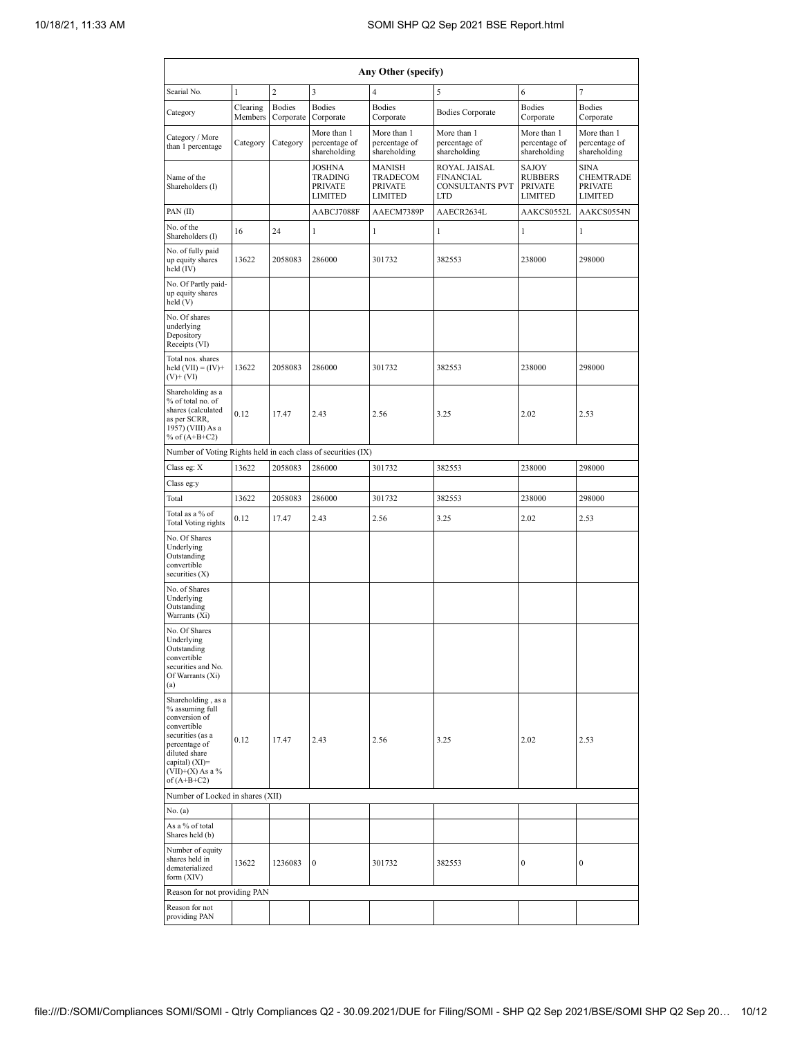| Any Other (specify)                                                                                                                                                                     |                     |                            |                                                                                                                                                                                        |                                              |                                              |                                                                    |                                                                     |  |  |  |  |  |
|-----------------------------------------------------------------------------------------------------------------------------------------------------------------------------------------|---------------------|----------------------------|----------------------------------------------------------------------------------------------------------------------------------------------------------------------------------------|----------------------------------------------|----------------------------------------------|--------------------------------------------------------------------|---------------------------------------------------------------------|--|--|--|--|--|
| Searial No.                                                                                                                                                                             | $\mathbf{1}$        | $\overline{c}$             | 3                                                                                                                                                                                      | 4                                            | 5                                            | 6                                                                  | 7                                                                   |  |  |  |  |  |
| Category                                                                                                                                                                                | Clearing<br>Members | <b>Bodies</b><br>Corporate | <b>Bodies</b><br>Corporate                                                                                                                                                             | <b>Bodies</b><br>Corporate                   | <b>Bodies Corporate</b>                      | <b>Bodies</b><br>Corporate                                         | <b>Bodies</b><br>Corporate                                          |  |  |  |  |  |
| Category / More<br>than 1 percentage                                                                                                                                                    | Category            | Category                   | More than 1<br>percentage of<br>shareholding                                                                                                                                           | More than 1<br>percentage of<br>shareholding | More than 1<br>percentage of<br>shareholding | More than 1<br>percentage of<br>shareholding                       | More than 1<br>percentage of<br>shareholding                        |  |  |  |  |  |
| Name of the<br>Shareholders (I)                                                                                                                                                         |                     |                            | ROYAL JAISAL<br><b>JOSHNA</b><br><b>MANISH</b><br><b>TRADING</b><br>TRADECOM<br><b>FINANCIAL</b><br><b>PRIVATE</b><br><b>PRIVATE</b><br><b>LIMITED</b><br><b>LIMITED</b><br><b>LTD</b> |                                              | <b>CONSULTANTS PVT</b>                       | <b>SAJOY</b><br><b>RUBBERS</b><br><b>PRIVATE</b><br><b>LIMITED</b> | <b>SINA</b><br><b>CHEMTRADE</b><br><b>PRIVATE</b><br><b>LIMITED</b> |  |  |  |  |  |
| PAN(II)                                                                                                                                                                                 |                     |                            | AABCJ7088F                                                                                                                                                                             | AAECM7389P                                   | AAECR2634L                                   | AAKCS0552L                                                         | AAKCS0554N                                                          |  |  |  |  |  |
| No. of the<br>Shareholders (I)                                                                                                                                                          | 16                  | 24                         | 1                                                                                                                                                                                      | 1                                            | 1                                            | 1                                                                  | 1                                                                   |  |  |  |  |  |
| No. of fully paid<br>up equity shares<br>held (IV)                                                                                                                                      | 13622               | 2058083                    | 286000                                                                                                                                                                                 | 301732                                       | 382553                                       | 238000                                                             | 298000                                                              |  |  |  |  |  |
| No. Of Partly paid-<br>up equity shares<br>held (V)                                                                                                                                     |                     |                            |                                                                                                                                                                                        |                                              |                                              |                                                                    |                                                                     |  |  |  |  |  |
| No. Of shares<br>underlying<br>Depository<br>Receipts (VI)                                                                                                                              |                     |                            |                                                                                                                                                                                        |                                              |                                              |                                                                    |                                                                     |  |  |  |  |  |
| Total nos. shares<br>held $(VII) = (IV) +$<br>$(V)$ + $(VI)$                                                                                                                            | 13622               | 2058083                    | 286000                                                                                                                                                                                 | 301732                                       | 382553                                       | 238000                                                             | 298000                                                              |  |  |  |  |  |
| Shareholding as a<br>% of total no. of<br>shares (calculated<br>as per SCRR,<br>1957) (VIII) As a<br>% of $(A+B+C2)$                                                                    | 0.12                | 17.47                      | 2.43                                                                                                                                                                                   | 2.56                                         | 3.25                                         | 2.02                                                               | 2.53                                                                |  |  |  |  |  |
| Number of Voting Rights held in each class of securities (IX)                                                                                                                           |                     |                            |                                                                                                                                                                                        |                                              |                                              |                                                                    |                                                                     |  |  |  |  |  |
| Class eg: X                                                                                                                                                                             | 13622               | 2058083                    | 286000                                                                                                                                                                                 | 301732                                       | 382553                                       | 238000                                                             | 298000                                                              |  |  |  |  |  |
| Class eg:y                                                                                                                                                                              |                     |                            |                                                                                                                                                                                        |                                              |                                              |                                                                    |                                                                     |  |  |  |  |  |
| Total                                                                                                                                                                                   | 13622               | 2058083                    | 286000                                                                                                                                                                                 | 301732                                       | 382553                                       | 238000                                                             | 298000                                                              |  |  |  |  |  |
| Total as a % of<br><b>Total Voting rights</b>                                                                                                                                           | 0.12                | 17.47                      | 2.43                                                                                                                                                                                   | 2.56                                         | 3.25                                         | 2.02                                                               | 2.53                                                                |  |  |  |  |  |
| No. Of Shares<br>Underlying<br>Outstanding<br>convertible<br>securities $(X)$                                                                                                           |                     |                            |                                                                                                                                                                                        |                                              |                                              |                                                                    |                                                                     |  |  |  |  |  |
| No. of Shares<br>Underlying<br>Outstanding<br>Warrants (Xi)                                                                                                                             |                     |                            |                                                                                                                                                                                        |                                              |                                              |                                                                    |                                                                     |  |  |  |  |  |
| No. Of Shares<br>Underlying<br>Outstanding<br>convertible<br>securities and No.<br>Of Warrants (Xi)<br>(a)                                                                              |                     |                            |                                                                                                                                                                                        |                                              |                                              |                                                                    |                                                                     |  |  |  |  |  |
| Shareholding, as a<br>% assuming full<br>conversion of<br>convertible<br>securities (as a<br>percentage of<br>diluted share<br>capital) $(XI)$ =<br>$(VII)+(X)$ As a %<br>of $(A+B+C2)$ | 0.12                | 17.47                      | 2.43                                                                                                                                                                                   | 2.56                                         | 3.25                                         | 2.02                                                               | 2.53                                                                |  |  |  |  |  |
| Number of Locked in shares (XII)                                                                                                                                                        |                     |                            |                                                                                                                                                                                        |                                              |                                              |                                                                    |                                                                     |  |  |  |  |  |
| No. (a)                                                                                                                                                                                 |                     |                            |                                                                                                                                                                                        |                                              |                                              |                                                                    |                                                                     |  |  |  |  |  |
| As a % of total<br>Shares held (b)                                                                                                                                                      |                     |                            |                                                                                                                                                                                        |                                              |                                              |                                                                    |                                                                     |  |  |  |  |  |
| Number of equity<br>shares held in<br>dematerialized<br>form (XIV)                                                                                                                      | 13622               | 1236083                    | $\boldsymbol{0}$                                                                                                                                                                       | 301732                                       | 382553                                       | $\mathbf{0}$                                                       | $\mathbf{0}$                                                        |  |  |  |  |  |
| Reason for not providing PAN                                                                                                                                                            |                     |                            |                                                                                                                                                                                        |                                              |                                              |                                                                    |                                                                     |  |  |  |  |  |
| Reason for not<br>providing PAN                                                                                                                                                         |                     |                            |                                                                                                                                                                                        |                                              |                                              |                                                                    |                                                                     |  |  |  |  |  |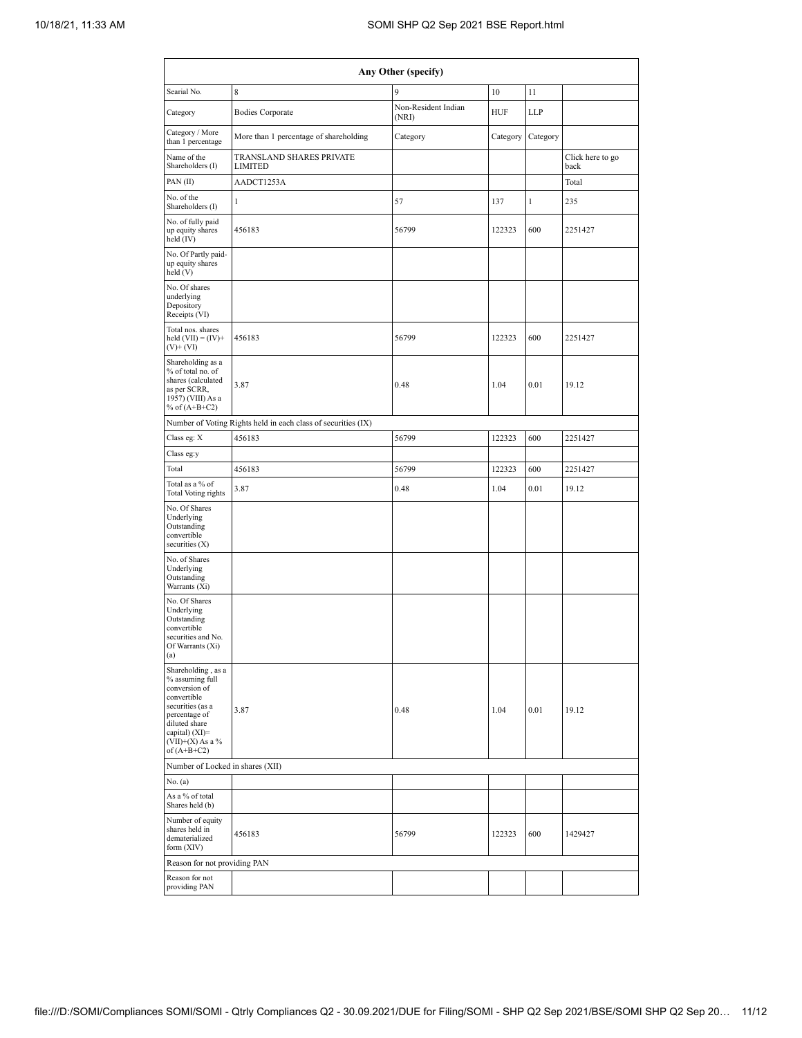| Any Other (specify)                                                                                                                                                                  |                                                               |                              |            |              |                          |  |  |  |  |  |  |  |  |  |
|--------------------------------------------------------------------------------------------------------------------------------------------------------------------------------------|---------------------------------------------------------------|------------------------------|------------|--------------|--------------------------|--|--|--|--|--|--|--|--|--|
| Searial No.                                                                                                                                                                          | 9<br>8<br>10<br>11                                            |                              |            |              |                          |  |  |  |  |  |  |  |  |  |
| Category                                                                                                                                                                             | <b>Bodies Corporate</b>                                       | Non-Resident Indian<br>(NRI) | <b>HUF</b> | <b>LLP</b>   |                          |  |  |  |  |  |  |  |  |  |
| Category / More<br>than 1 percentage                                                                                                                                                 | More than 1 percentage of shareholding                        | Category                     | Category   | Category     |                          |  |  |  |  |  |  |  |  |  |
| Name of the<br>Shareholders (I)                                                                                                                                                      | TRANSLAND SHARES PRIVATE<br><b>LIMITED</b>                    |                              |            |              | Click here to go<br>back |  |  |  |  |  |  |  |  |  |
| PAN(II)                                                                                                                                                                              | AADCT1253A                                                    |                              |            |              | Total                    |  |  |  |  |  |  |  |  |  |
| No. of the<br>Shareholders (I)                                                                                                                                                       | $\mathbf{1}$                                                  | 57                           | 137        | $\mathbf{1}$ | 235                      |  |  |  |  |  |  |  |  |  |
| No. of fully paid<br>up equity shares<br>held $(IV)$                                                                                                                                 | 456183                                                        | 56799                        | 122323     | 600          | 2251427                  |  |  |  |  |  |  |  |  |  |
| No. Of Partly paid-<br>up equity shares<br>held (V)                                                                                                                                  |                                                               |                              |            |              |                          |  |  |  |  |  |  |  |  |  |
| No. Of shares<br>underlying<br>Depository<br>Receipts (VI)                                                                                                                           |                                                               |                              |            |              |                          |  |  |  |  |  |  |  |  |  |
| Total nos. shares<br>held $(VII) = (IV) +$<br>$(V)+(VI)$                                                                                                                             | 456183                                                        | 56799                        | 122323     | 600          | 2251427                  |  |  |  |  |  |  |  |  |  |
| Shareholding as a<br>% of total no. of<br>shares (calculated<br>as per SCRR,<br>1957) (VIII) As a<br>% of $(A+B+C2)$                                                                 | 3.87                                                          | 0.48                         | 1.04       | 0.01         | 19.12                    |  |  |  |  |  |  |  |  |  |
|                                                                                                                                                                                      | Number of Voting Rights held in each class of securities (IX) |                              |            |              |                          |  |  |  |  |  |  |  |  |  |
| Class eg: X                                                                                                                                                                          | 456183                                                        | 56799                        | 122323     | 600          | 2251427                  |  |  |  |  |  |  |  |  |  |
| Class eg:y                                                                                                                                                                           |                                                               |                              |            |              |                          |  |  |  |  |  |  |  |  |  |
| Total                                                                                                                                                                                | 456183                                                        | 56799                        | 122323     | 600          | 2251427                  |  |  |  |  |  |  |  |  |  |
| Total as a % of<br><b>Total Voting rights</b>                                                                                                                                        | 3.87                                                          | 0.48                         | 1.04       | 0.01         | 19.12                    |  |  |  |  |  |  |  |  |  |
| No. Of Shares<br>Underlying<br>Outstanding<br>convertible<br>securities $(X)$                                                                                                        |                                                               |                              |            |              |                          |  |  |  |  |  |  |  |  |  |
| No. of Shares<br>Underlying<br>Outstanding<br>Warrants (Xi)                                                                                                                          |                                                               |                              |            |              |                          |  |  |  |  |  |  |  |  |  |
| No. Of Shares<br>Underlying<br>Outstanding<br>convertible<br>securities and No.<br>Of Warrants (Xi)<br>(a)                                                                           |                                                               |                              |            |              |                          |  |  |  |  |  |  |  |  |  |
| Shareholding, as a<br>% assuming full<br>conversion of<br>convertible<br>securities (as a<br>percentage of<br>diluted share<br>capital) (XI)=<br>$(VII)+(X)$ As a %<br>of $(A+B+C2)$ | 3.87                                                          | 0.48                         | 1.04       | 0.01         | 19.12                    |  |  |  |  |  |  |  |  |  |
| Number of Locked in shares (XII)                                                                                                                                                     |                                                               |                              |            |              |                          |  |  |  |  |  |  |  |  |  |
| No. (a)                                                                                                                                                                              |                                                               |                              |            |              |                          |  |  |  |  |  |  |  |  |  |
| As a % of total<br>Shares held (b)                                                                                                                                                   |                                                               |                              |            |              |                          |  |  |  |  |  |  |  |  |  |
| Number of equity<br>shares held in<br>dematerialized<br>form $(XIV)$                                                                                                                 | 456183                                                        | 56799                        | 122323     | 600          | 1429427                  |  |  |  |  |  |  |  |  |  |
| Reason for not providing PAN                                                                                                                                                         |                                                               |                              |            |              |                          |  |  |  |  |  |  |  |  |  |
| Reason for not<br>providing PAN                                                                                                                                                      |                                                               |                              |            |              |                          |  |  |  |  |  |  |  |  |  |